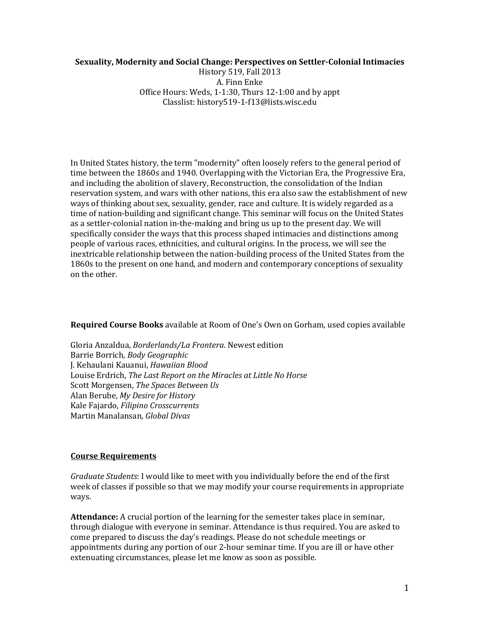## **Sexuality, Modernity and Social Change: Perspectives on Settler-Colonial Intimacies**

History 519, Fall 2013 A. Finn Enke Office Hours: Weds, 1-1:30, Thurs 12-1:00 and by appt Classlist: history519-1-f13@lists.wisc.edu

In United States history, the term "modernity" often loosely refers to the general period of time between the 1860s and 1940. Overlapping with the Victorian Era, the Progressive Era, and including the abolition of slavery, Reconstruction, the consolidation of the Indian reservation system, and wars with other nations, this era also saw the establishment of new ways of thinking about sex, sexuality, gender, race and culture. It is widely regarded as a time of nation-building and significant change. This seminar will focus on the United States as a settler-colonial nation in-the-making and bring us up to the present day. We will specifically consider the ways that this process shaped intimacies and distinctions among people of various races, ethnicities, and cultural origins. In the process, we will see the inextricable relationship between the nation-building process of the United States from the 1860s to the present on one hand, and modern and contemporary conceptions of sexuality on the other.

## **Required Course Books** available at Room of One's Own on Gorham, used copies available

Gloria Anzaldua, *Borderlands/La Frontera*. Newest edition Barrie Borrich, *Body Geographic* J. Kehaulani Kauanui, *Hawaiian Blood* Louise Erdrich, *The Last Report on the Miracles at Little No Horse* Scott Morgensen, *The Spaces Between Us* Alan Berube, *My Desire for History* Kale Fajardo, *Filipino Crosscurrents* Martin Manalansan, *Global Divas*

## **Course Requirements**

*Graduate Students*: I would like to meet with you individually before the end of the first week of classes if possible so that we may modify your course requirements in appropriate ways.

**Attendance:** A crucial portion of the learning for the semester takes place in seminar, through dialogue with everyone in seminar. Attendance is thus required. You are asked to come prepared to discuss the day's readings. Please do not schedule meetings or appointments during any portion of our 2-hour seminar time. If you are ill or have other extenuating circumstances, please let me know as soon as possible.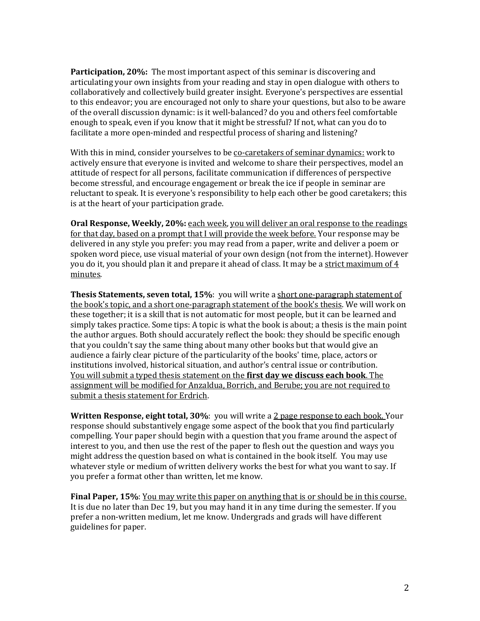**Participation, 20%:** The most important aspect of this seminar is discovering and articulating your own insights from your reading and stay in open dialogue with others to collaboratively and collectively build greater insight. Everyone's perspectives are essential to this endeavor; you are encouraged not only to share your questions, but also to be aware of the overall discussion dynamic: is it well-balanced? do you and others feel comfortable enough to speak, even if you know that it might be stressful? If not, what can you do to facilitate a more open-minded and respectful process of sharing and listening?

With this in mind, consider yourselves to be co-caretakers of seminar dynamics: work to actively ensure that everyone is invited and welcome to share their perspectives, model an attitude of respect for all persons, facilitate communication if differences of perspective become stressful, and encourage engagement or break the ice if people in seminar are reluctant to speak. It is everyone's responsibility to help each other be good caretakers; this is at the heart of your participation grade.

**Oral Response, Weekly, 20%:** each week, you will deliver an oral response to the readings for that day, based on a prompt that I will provide the week before. Your response may be delivered in any style you prefer: you may read from a paper, write and deliver a poem or spoken word piece, use visual material of your own design (not from the internet). However you do it, you should plan it and prepare it ahead of class. It may be a strict maximum of 4 minutes.

**Thesis Statements, seven total, 15%**: you will write a short one-paragraph statement of the book's topic, and a short one-paragraph statement of the book's thesis. We will work on these together; it is a skill that is not automatic for most people, but it can be learned and simply takes practice. Some tips: A topic is what the book is about; a thesis is the main point the author argues. Both should accurately reflect the book: they should be specific enough that you couldn't say the same thing about many other books but that would give an audience a fairly clear picture of the particularity of the books' time, place, actors or institutions involved, historical situation, and author's central issue or contribution. You will submit a typed thesis statement on the **first day we discuss each book**. The assignment will be modified for Anzaldua, Borrich, and Berube; you are not required to submit a thesis statement for Erdrich.

**Written Response, eight total, 30%**: you will write a 2 page response to each book. Your response should substantively engage some aspect of the book that you find particularly compelling. Your paper should begin with a question that you frame around the aspect of interest to you, and then use the rest of the paper to flesh out the question and ways you might address the question based on what is contained in the book itself. You may use whatever style or medium of written delivery works the best for what you want to say. If you prefer a format other than written, let me know.

**Final Paper, 15%**: You may write this paper on anything that is or should be in this course. It is due no later than Dec 19, but you may hand it in any time during the semester. If you prefer a non-written medium, let me know. Undergrads and grads will have different guidelines for paper.